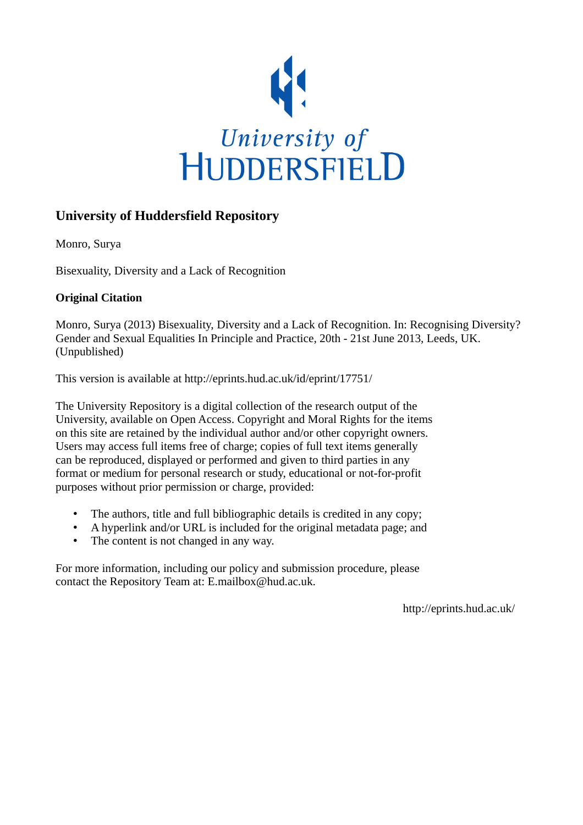

### **University of Huddersfield Repository**

Monro, Surya

Bisexuality, Diversity and a Lack of Recognition

#### **Original Citation**

Monro, Surya (2013) Bisexuality, Diversity and a Lack of Recognition. In: Recognising Diversity? Gender and Sexual Equalities In Principle and Practice, 20th - 21st June 2013, Leeds, UK. (Unpublished)

This version is available at http://eprints.hud.ac.uk/id/eprint/17751/

The University Repository is a digital collection of the research output of the University, available on Open Access. Copyright and Moral Rights for the items on this site are retained by the individual author and/or other copyright owners. Users may access full items free of charge; copies of full text items generally can be reproduced, displayed or performed and given to third parties in any format or medium for personal research or study, educational or not-for-profit purposes without prior permission or charge, provided:

- The authors, title and full bibliographic details is credited in any copy;
- A hyperlink and/or URL is included for the original metadata page; and
- The content is not changed in any way.

For more information, including our policy and submission procedure, please contact the Repository Team at: E.mailbox@hud.ac.uk.

http://eprints.hud.ac.uk/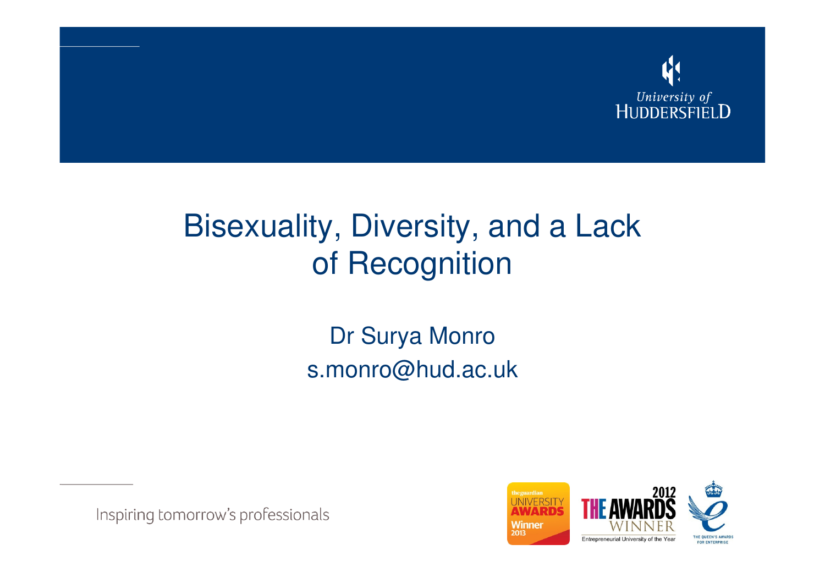

## Bisexuality, Diversity, and a Lack of Recognition

Dr Surya Monros.monro@hud.ac.uk

Inspiring tomorrow's professionals

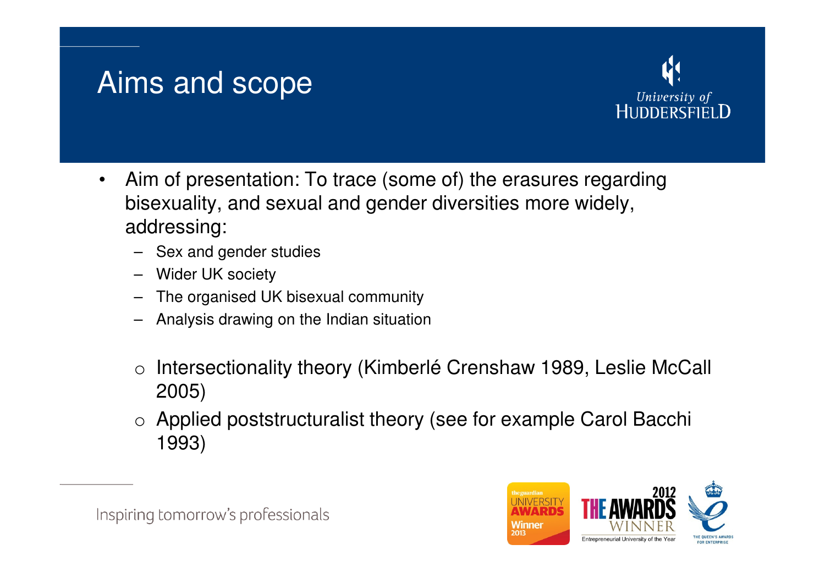### Aims and scope



- $\bullet$  Aim of presentation: To trace (some of) the erasures regarding bisexuality, and sexual and gender diversities more widely, addressing:
	- Sex and gender studies
	- Wider UK society
	- The organised UK bisexual community
	- Analysis drawing on the Indian situation
	- o Intersectionality theory (Kimberlé Crenshaw 1989, Leslie McCall 2005)
	- o Applied poststructuralist theory (see for example Carol Bacchi 1993)

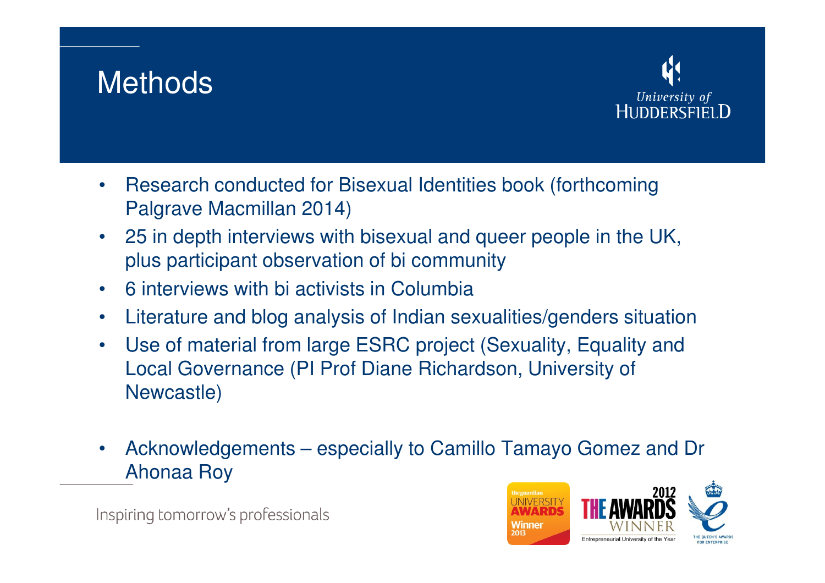### **Methods**



- • Research conducted for Bisexual Identities book (forthcoming Palgrave Macmillan 2014)
- 25 in depth interviews with bisexual and queer people in the UK, plus participant observation of bi community
- •6 interviews with bi activists in Columbia
- $\bullet$ Literature and blog analysis of Indian sexualities/genders situation
- $\bullet$  Use of material from large ESRC project (Sexuality, Equality and Local Governance (PI Prof Diane Richardson, University of Newcastle)
- • Acknowledgements – especially to Camillo Tamayo Gomez and Dr Ahonaa Roy



Inspiring tomorrow's professionals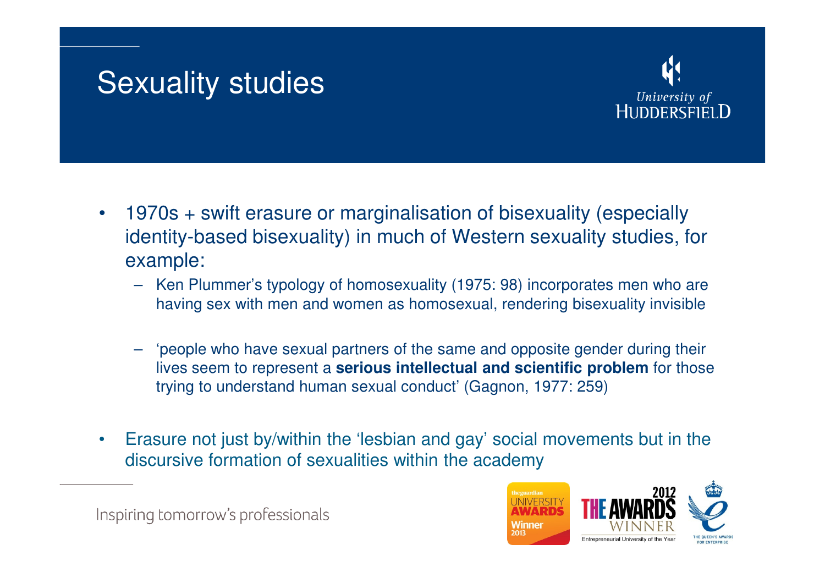### Sexuality studies



- • 1970s + swift erasure or marginalisation of bisexuality (especially identity-based bisexuality) in much of Western sexuality studies, for example:
	- Ken Plummer's typology of homosexuality (1975: 98) incorporates men who are having sex with men and women as homosexual, rendering bisexuality invisible
	- 'people who have sexual partners of the same and opposite gender during their lives seem to represent a **serious intellectual and scientific problem** for those trying to understand human sexual conduct' (Gagnon, 1977: 259)
- • Erasure not just by/within the 'lesbian and gay' social movements but in the discursive formation of sexualities within the academy

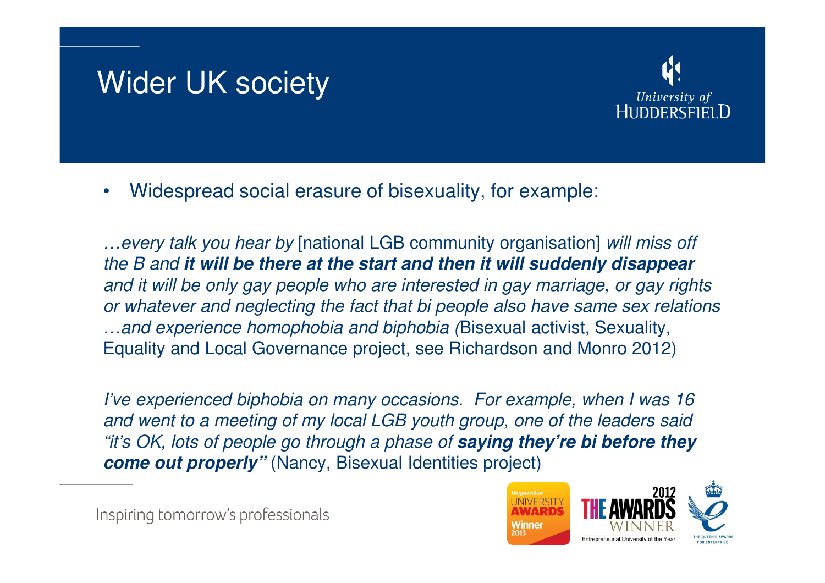### Wider UK society



•Widespread social erasure of bisexuality, for example:

…every talk you hear by [national LGB community organisation] will miss off the B and **it will be there at the start and then it will suddenly disappear** and it will be only gay people who are interested in gay marriage, or gay rights or whatever and neglecting the fact that bi people also have same sex relations …and experience homophobia and biphobia (Bisexual activist, Sexuality, Equality and Local Governance project, see Richardson and Monro 2012)

I've experienced biphobia on many occasions. For example, when I was 16 and went to a meeting of my local LGB youth group, one of the leaders said "it's OK, lots of people go through a phase of **saying they're bi before they come out properly"** (Nancy, Bisexual Identities project)

Inspiring tomorrow's professionals

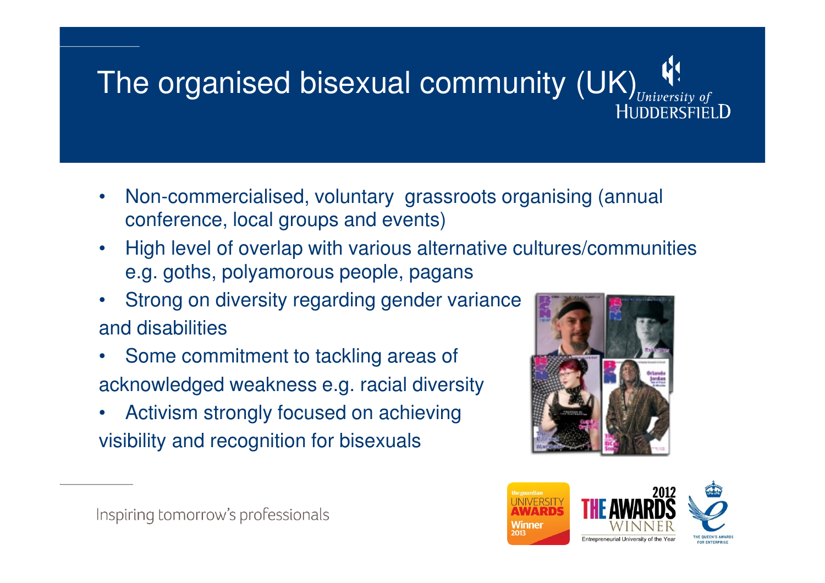# The organised bisexual community (UK),

- • Non-commercialised, voluntary grassroots organising (annual conference, local groups and events)
- • High level of overlap with various alternative cultures/communities e.g. goths, polyamorous people, pagans
- • Strong on diversity regarding gender varianceand disabilities
- • Some commitment to tackling areas of acknowledged weakness e.g. racial diversity
- • Activism strongly focused on achieving visibility and recognition for bisexuals



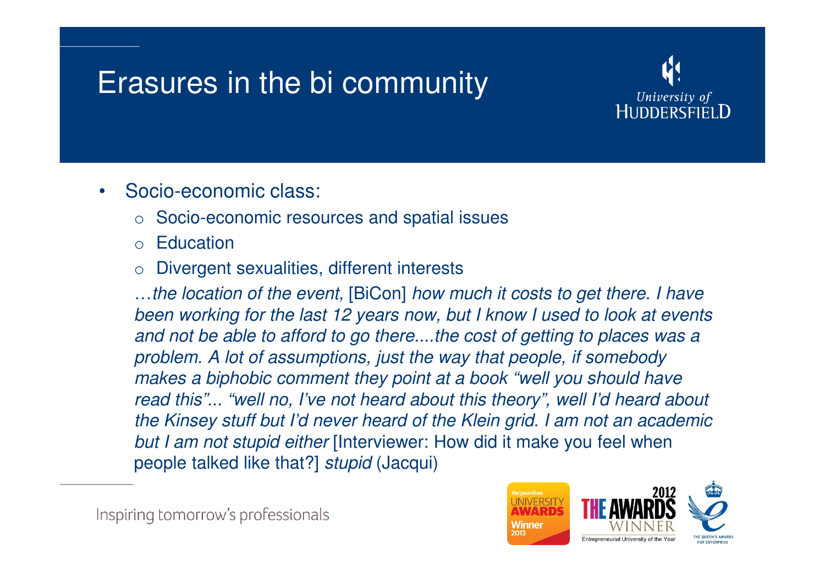### Erasures in the bi community



- • Socio-economic class:
	- o Socio-economic resources and spatial issues
	- o**Education**
	- oDivergent sexualities, different interests

…the location of the event, [BiCon] how much it costs to get there. I have been working for the last 12 years now, but I know I used to look at events and not be able to afford to go there....the cost of getting to places was a problem. A lot of assumptions, just the way that people, if somebody makes a biphobic comment they point at a book "well you should have read this"... "well no, I've not heard about this theory", well I'd heard about the Kinsey stuff but I'd never heard of the Klein grid. I am not an academic but I am not stupid either [Interviewer: How did it make you feel when people talked like that?] stupid (Jacqui)

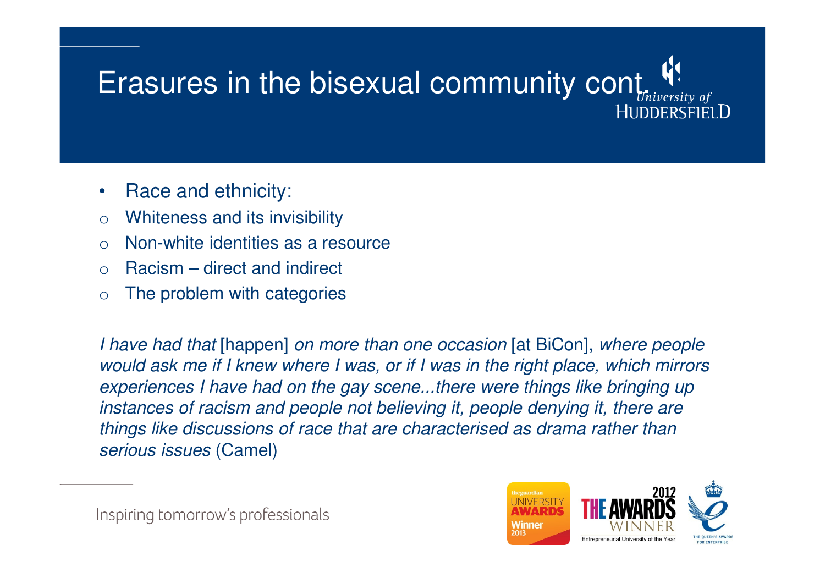## Erasures in the bisexual community cont.HUDDERSEIELD

- •Race and ethnicity:
- oWhiteness and its invisibility
- $\Omega$ Non-white identities as a resource
- oRacism – direct and indirect
- oThe problem with categories

I have had that [happen] on more than one occasion [at BiCon], where people would ask me if I knew where I was, or if I was in the right place, which mirrors experiences I have had on the gay scene...there were things like bringing up instances of racism and people not believing it, people denying it, there are things like discussions of race that are characterised as drama rather than serious issues (Camel)

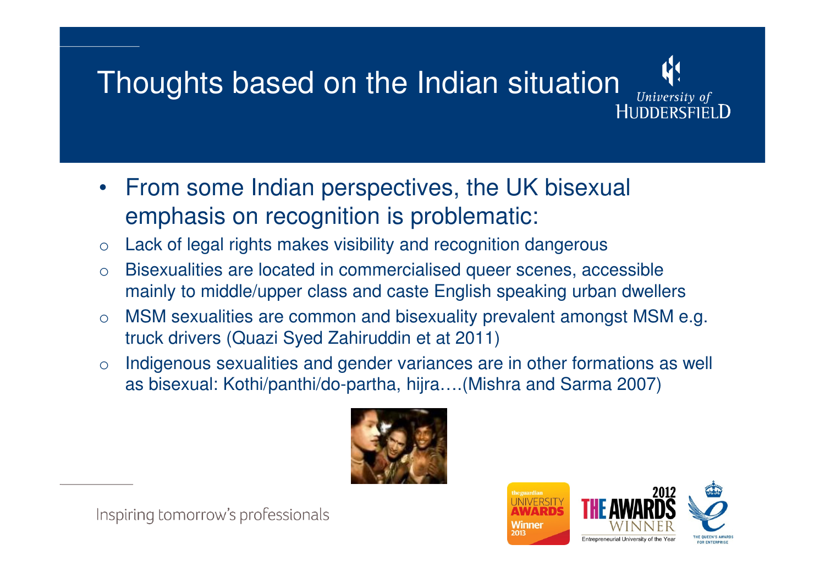### Thoughts based on the Indian situation**HUDDERSFIELD**

- From some Indian perspectives, the UK bisexual emphasis on recognition is problematic:
- oLack of legal rights makes visibility and recognition dangerous
- o Bisexualities are located in commercialised queer scenes, accessible mainly to middle/upper class and caste English speaking urban dwellers
- o MSM sexualities are common and bisexuality prevalent amongst MSM e.g. truck drivers (Quazi Syed Zahiruddin et at 2011)
- o Indigenous sexualities and gender variances are in other formations as well as bisexual: Kothi/panthi/do-partha, hijra….(Mishra and Sarma 2007)





University of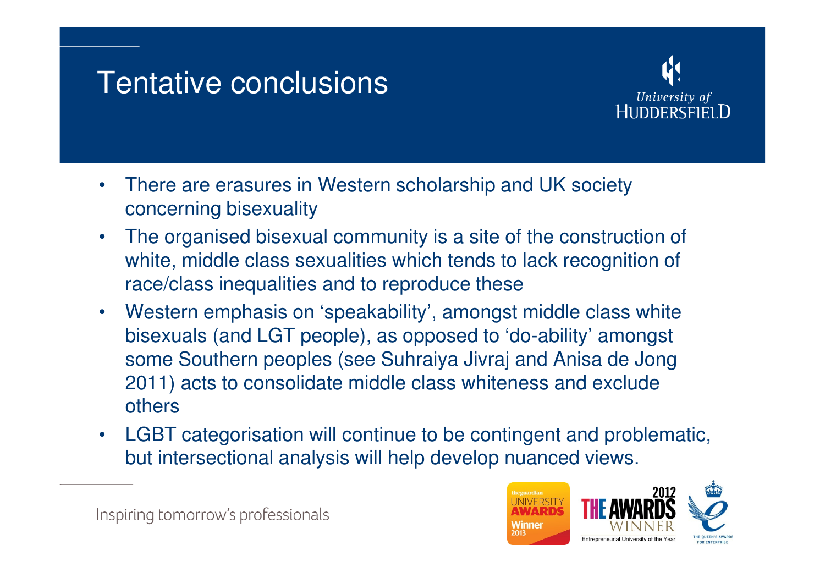### Tentative conclusions



- • There are erasures in Western scholarship and UK society concerning bisexuality
- • The organised bisexual community is a site of the construction of white, middle class sexualities which tends to lack recognition of race/class inequalities and to reproduce these
- $\bullet$  Western emphasis on 'speakability', amongst middle class white bisexuals (and LGT people), as opposed to 'do-ability' amongst some Southern peoples (see Suhraiya Jivraj and Anisa de Jong 2011) acts to consolidate middle class whiteness and exclude others
- $\bullet$  LGBT categorisation will continue to be contingent and problematic, but intersectional analysis will help develop nuanced views.

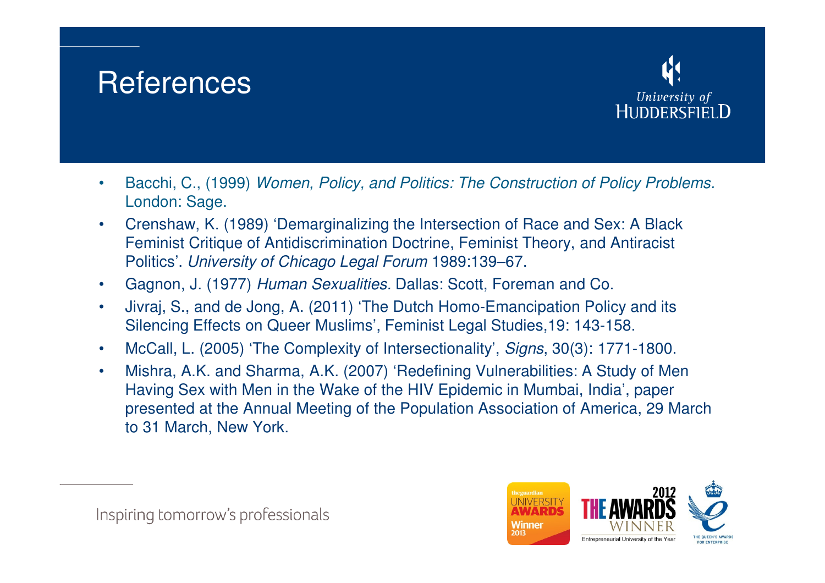### **References**



- • Bacchi, C., (1999) Women, Policy, and Politics: The Construction of Policy Problems. London: Sage.
- $\bullet$  Crenshaw, K. (1989) 'Demarginalizing the Intersection of Race and Sex: A Black Feminist Critique of Antidiscrimination Doctrine, Feminist Theory, and Antiracist Politics'. University of Chicago Legal Forum 1989:139–67.
- $\bullet$ Gagnon, J. (1977) Human Sexualities. Dallas: Scott, Foreman and Co.
- $\bullet$  Jivraj, S., and de Jong, A. (2011) 'The Dutch Homo-Emancipation Policy and its Silencing Effects on Queer Muslims', Feminist Legal Studies,19: 143-158.
- •McCall, L. (2005) 'The Complexity of Intersectionality', Signs, 30(3): 1771-1800.
- • Mishra, A.K. and Sharma, A.K. (2007) 'Redefining Vulnerabilities: A Study of Men Having Sex with Men in the Wake of the HIV Epidemic in Mumbai, India', paper presented at the Annual Meeting of the Population Association of America, 29 March to 31 March, New York.